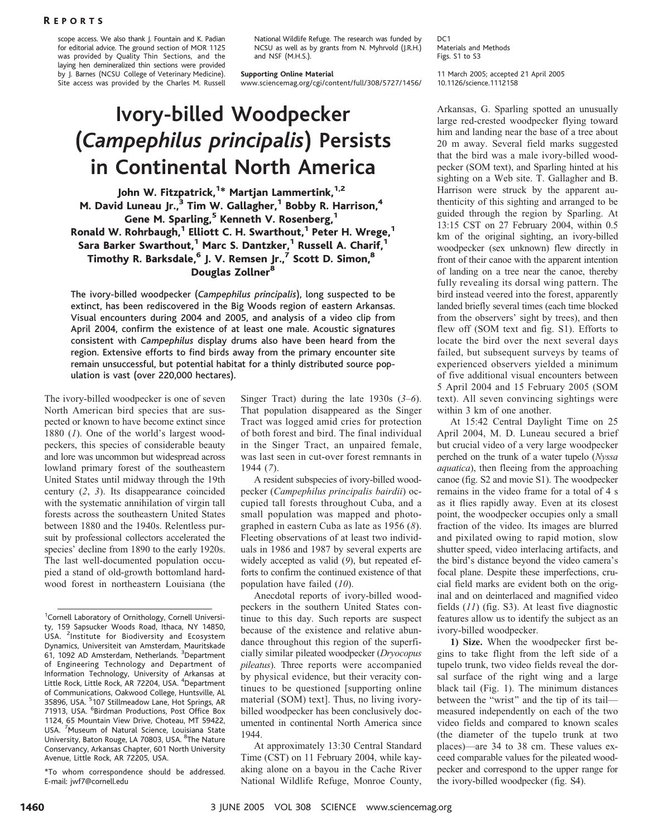scope access. We also thank J. Fountain and K. Padian for editorial advice. The ground section of MOR 1125 was provided by Quality Thin Sections, and the laying hen demineralized thin sections were provided by J. Barnes (NCSU College of Veterinary Medicine). Site access was provided by the Charles M. Russell National Wildlife Refuge. The research was funded by NCSU as well as by grants from N. Myhrvold (J.R.H.) and NSF (M.H.S.).

### Supporting Online Material

www.sciencemag.org/cgi/content/full/308/5727/1456/

# Ivory-billed Woodpecker (Campephilus principalis) Persists in Continental North America

## John W. Fitzpatrick,<sup>1\*</sup> Martjan Lammertink,<sup>1,2</sup> M. David Luneau Jr., $3$  Tim W. Gallagher, $1$  Bobby R. Harrison, $4$ Gene M. Sparling,<sup>5</sup> Kenneth V. Rosenberg,<sup>1</sup> Ronald W. Rohrbaugh,<sup>1</sup> Elliott C. H. Swarthout,<sup>1</sup> Peter H. Wrege,<sup>1</sup> Sara Barker Swarthout,<sup>1</sup> Marc S. Dantzker,<sup>1</sup> Russell A. Charif, Timothy R. Barksdale,<sup>6</sup> J. V. Remsen Jr.,<sup>7</sup> Scott D. Simon,<sup>8</sup> Douglas Zollner<sup>8</sup>

The ivory-billed woodpecker (Campephilus principalis), long suspected to be extinct, has been rediscovered in the Big Woods region of eastern Arkansas. Visual encounters during 2004 and 2005, and analysis of a video clip from April 2004, confirm the existence of at least one male. Acoustic signatures consistent with Campephilus display drums also have been heard from the region. Extensive efforts to find birds away from the primary encounter site remain unsuccessful, but potential habitat for a thinly distributed source population is vast (over 220,000 hectares).

The ivory-billed woodpecker is one of seven North American bird species that are suspected or known to have become extinct since 1880  $(1)$ . One of the world's largest woodpeckers, this species of considerable beauty and lore was uncommon but widespread across lowland primary forest of the southeastern United States until midway through the 19th century (2, 3). Its disappearance coincided with the systematic annihilation of virgin tall forests across the southeastern United States between 1880 and the 1940s. Relentless pursuit by professional collectors accelerated the species' decline from 1890 to the early 1920s. The last well-documented population occupied a stand of old-growth bottomland hardwood forest in northeastern Louisiana (the

\*To whom correspondence should be addressed. E-mail: jwf7@cornell.edu

Singer Tract) during the late  $1930s$  (3–6). That population disappeared as the Singer Tract was logged amid cries for protection of both forest and bird. The final individual in the Singer Tract, an unpaired female, was last seen in cut-over forest remnants in 1944 (7).

A resident subspecies of ivory-billed woodpecker (Campephilus principalis bairdii) occupied tall forests throughout Cuba, and a small population was mapped and photographed in eastern Cuba as late as 1956 (8). Fleeting observations of at least two individuals in 1986 and 1987 by several experts are widely accepted as valid (9), but repeated efforts to confirm the continued existence of that population have failed (10).

Anecdotal reports of ivory-billed woodpeckers in the southern United States continue to this day. Such reports are suspect because of the existence and relative abundance throughout this region of the superficially similar pileated woodpecker (Dryocopus pileatus). Three reports were accompanied by physical evidence, but their veracity continues to be questioned [supporting online] material (SOM) text]. Thus, no living ivorybilled woodpecker has been conclusively documented in continental North America since 1944.

At approximately 13:30 Central Standard Time (CST) on 11 February 2004, while kayaking alone on a bayou in the Cache River National Wildlife Refuge, Monroe County,

DC<sub>1</sub> Materials and Methods Figs. S1 to S3

11 March 2005; accepted 21 April 2005 10.1126/science.1112158

Arkansas, G. Sparling spotted an unusually large red-crested woodpecker flying toward him and landing near the base of a tree about 20 m away. Several field marks suggested that the bird was a male ivory-billed woodpecker (SOM text), and Sparling hinted at his sighting on a Web site. T. Gallagher and B. Harrison were struck by the apparent authenticity of this sighting and arranged to be guided through the region by Sparling. At 13:15 CST on 27 February 2004, within 0.5 km of the original sighting, an ivory-billed woodpecker (sex unknown) flew directly in front of their canoe with the apparent intention of landing on a tree near the canoe, thereby fully revealing its dorsal wing pattern. The bird instead veered into the forest, apparently landed briefly several times (each time blocked from the observers' sight by trees), and then flew off (SOM text and fig. S1). Efforts to locate the bird over the next several days failed, but subsequent surveys by teams of experienced observers yielded a minimum of five additional visual encounters between 5 April 2004 and 15 February 2005 (SOM text). All seven convincing sightings were within 3 km of one another.

At 15:42 Central Daylight Time on 25 April 2004, M. D. Luneau secured a brief but crucial video of a very large woodpecker perched on the trunk of a water tupelo (Nyssa aquatica), then fleeing from the approaching canoe (fig. S2 and movie S1). The woodpecker remains in the video frame for a total of 4 s as it flies rapidly away. Even at its closest point, the woodpecker occupies only a small fraction of the video. Its images are blurred and pixilated owing to rapid motion, slow shutter speed, video interlacing artifacts, and the bird's distance beyond the video camera's focal plane. Despite these imperfections, crucial field marks are evident both on the original and on deinterlaced and magnified video fields (11) (fig. S3). At least five diagnostic features allow us to identify the subject as an ivory-billed woodpecker.

1) Size. When the woodpecker first begins to take flight from the left side of a tupelo trunk, two video fields reveal the dorsal surface of the right wing and a large black tail (Fig. 1). The minimum distances between the "wrist" and the tip of its tail measured independently on each of the two video fields and compared to known scales (the diameter of the tupelo trunk at two places)—are 34 to 38 cm. These values exceed comparable values for the pileated woodpecker and correspond to the upper range for the ivory-billed woodpecker (fig. S4).

<sup>&</sup>lt;sup>1</sup>Cornell Laboratory of Ornithology, Cornell University, 159 Sapsucker Woods Road, Ithaca, NY 14850, USA. <sup>2</sup>Institute for Biodiversity and Ecosystem Dynamics, Universiteit van Amsterdam, Mauritskade 61, 1092 AD Amsterdam, Netherlands. <sup>3</sup>Department of Engineering Technology and Department of Information Technology, University of Arkansas at Little Rock, Little Rock, AR 72204, USA. <sup>4</sup>Department of Communications, Oakwood College, Huntsville, AL 35896, USA. <sup>5</sup>107 Stillmeadow Lane, Hot Springs, AR 71913, USA. <sup>6</sup>Birdman Productions, Post Office Box 1124, 65 Mountain View Drive, Choteau, MT 59422, USA. <sup>7</sup>Museum of Natural Science, Louisiana State University, Baton Rouge, LA 70803, USA. <sup>8</sup>The Nature Conservancy, Arkansas Chapter, 601 North University Avenue, Little Rock, AR 72205, USA.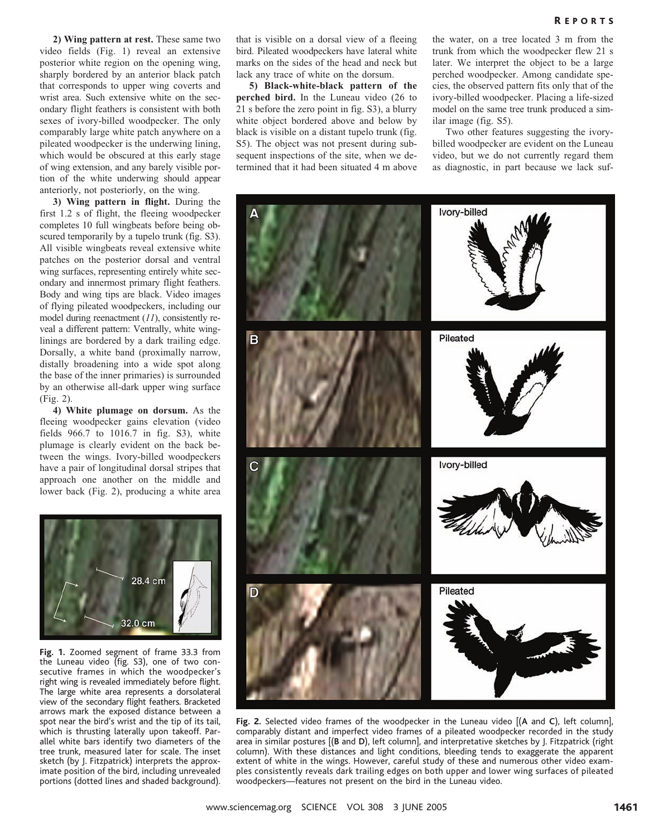2) Wing pattern at rest. These same two video fields (Fig. 1) reveal an extensive posterior white region on the opening wing, sharply bordered by an anterior black patch that corresponds to upper wing coverts and wrist area. Such extensive white on the secondary flight feathers is consistent with both sexes of ivory-billed woodpecker. The only comparably large white patch anywhere on a pileated woodpecker is the underwing lining, which would be obscured at this early stage of wing extension, and any barely visible portion of the white underwing should appear anteriorly, not posteriorly, on the wing.

3) Wing pattern in flight. During the first 1.2 s of flight, the fleeing woodpecker completes 10 full wingbeats before being obscured temporarily by a tupelo trunk (fig. S3). All visible wingbeats reveal extensive white patches on the posterior dorsal and ventral wing surfaces, representing entirely white secondary and innermost primary flight feathers. Body and wing tips are black. Video images of flying pileated woodpeckers, including our model during reenactment (11), consistently reveal a different pattern: Ventrally, white winglinings are bordered by a dark trailing edge. Dorsally, a white band (proximally narrow, distally broadening into a wide spot along the base of the inner primaries) is surrounded by an otherwise all-dark upper wing surface (Fig. 2).

4) White plumage on dorsum. As the fleeing woodpecker gains elevation (video fields 966.7 to 1016.7 in fig. S3), white plumage is clearly evident on the back between the wings. Ivory-billed woodpeckers have a pair of longitudinal dorsal stripes that approach one another on the middle and lower back (Fig. 2), producing a white area



Fig. 1. Zoomed segment of frame 33.3 from the Luneau video (fig. S3), one of two consecutive frames in which the woodpecker's right wing is revealed immediately before flight. The large white area represents a dorsolateral view of the secondary flight feathers. Bracketed arrows mark the exposed distance between a spot near the bird's wrist and the tip of its tail, which is thrusting laterally upon takeoff. Parallel white bars identify two diameters of the tree trunk, measured later for scale. The inset sketch (by J. Fitzpatrick) interprets the approximate position of the bird, including unrevealed portions (dotted lines and shaded background).

that is visible on a dorsal view of a fleeing bird. Pileated woodpeckers have lateral white marks on the sides of the head and neck but lack any trace of white on the dorsum.

5) Black-white-black pattern of the perched bird. In the Luneau video (26 to 21 s before the zero point in fig. S3), a blurry white object bordered above and below by black is visible on a distant tupelo trunk (fig. S5). The object was not present during subsequent inspections of the site, when we determined that it had been situated 4 m above

the water, on a tree located 3 m from the trunk from which the woodpecker flew 21 s later. We interpret the object to be a large perched woodpecker. Among candidate species, the observed pattern fits only that of the ivory-billed woodpecker. Placing a life-sized model on the same tree trunk produced a similar image (fig. S5).

Two other features suggesting the ivorybilled woodpecker are evident on the Luneau video, but we do not currently regard them as diagnostic, in part because we lack suf-



Fig. 2. Selected video frames of the woodpecker in the Luneau video [(A and C), left column], comparably distant and imperfect video frames of a pileated woodpecker recorded in the study area in similar postures [(B and D), left column], and interpretative sketches by J. Fitzpatrick (right column). With these distances and light conditions, bleeding tends to exaggerate the apparent extent of white in the wings. However, careful study of these and numerous other video examples consistently reveals dark trailing edges on both upper and lower wing surfaces of pileated woodpeckers—features not present on the bird in the Luneau video.